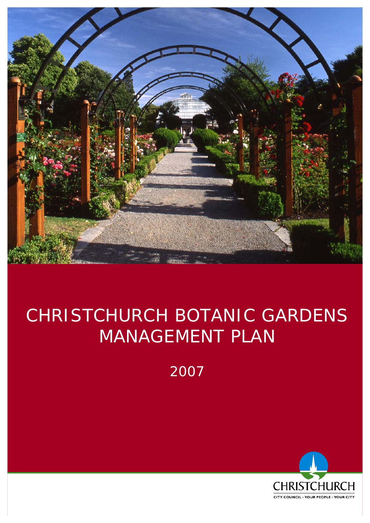

# CHRISTCHURCH BOTANIC GARDENS MANAGEMENT PLAN

2007

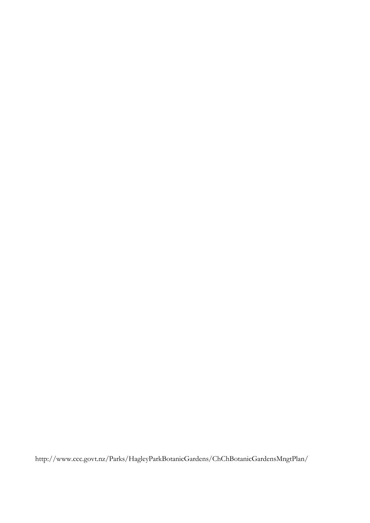http://www.ccc.govt.nz/Parks/HagleyParkBotanicGardens/ChChBotanicGardensMngtPlan/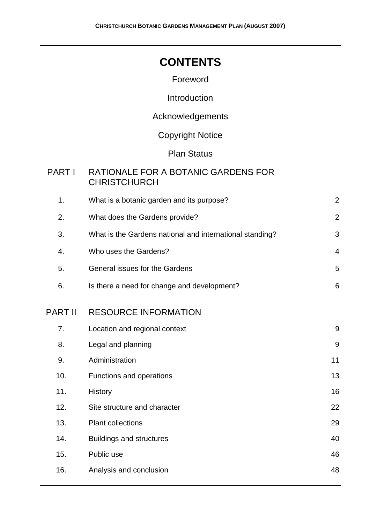# **CONTENTS**

#### Foreword

#### Introduction

### Acknowledgements

## Copyright Notice

### Plan Status

#### PART I RATIONALE FOR A BOTANIC GARDENS FOR **CHRISTCHURCH**

|    | What is a botanic garden and its purpose?                | 2              |
|----|----------------------------------------------------------|----------------|
| 2. | What does the Gardens provide?                           | $\overline{2}$ |
| 3. | What is the Gardens national and international standing? | 3              |
| 4. | Who uses the Gardens?                                    | 4              |
| 5. | General issues for the Gardens                           | 5              |
| 6. | Is there a need for change and development?              | 6              |
|    |                                                          |                |

## PART II RESOURCE INFORMATION

| 7.  | Location and regional context   | 9  |
|-----|---------------------------------|----|
| 8.  | Legal and planning              | 9  |
| 9.  | Administration                  | 11 |
| 10. | Functions and operations        | 13 |
| 11. | <b>History</b>                  | 16 |
| 12. | Site structure and character    | 22 |
| 13. | <b>Plant collections</b>        | 29 |
| 14. | <b>Buildings and structures</b> | 40 |
| 15. | Public use                      | 46 |
| 16. | Analysis and conclusion         | 48 |
|     |                                 |    |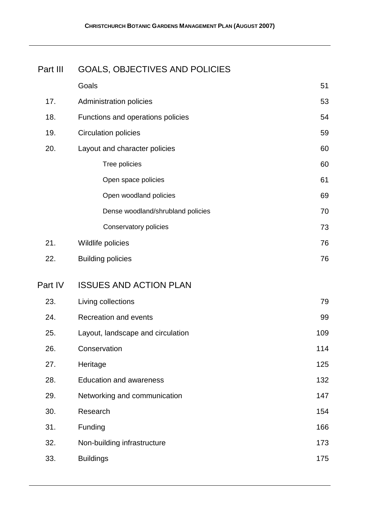## Part III GOALS, OBJECTIVES AND POLICIES

|         | Goals                             | 51  |
|---------|-----------------------------------|-----|
| 17.     | Administration policies           | 53  |
| 18.     | Functions and operations policies | 54  |
| 19.     | <b>Circulation policies</b>       | 59  |
| 20.     | Layout and character policies     | 60  |
|         | Tree policies                     | 60  |
|         | Open space policies               | 61  |
|         | Open woodland policies            | 69  |
|         | Dense woodland/shrubland policies | 70  |
|         | Conservatory policies             | 73  |
| 21.     | Wildlife policies                 | 76  |
| 22.     | <b>Building policies</b>          | 76  |
| Part IV | <b>ISSUES AND ACTION PLAN</b>     |     |
| 23.     | Living collections                | 79  |
| 24.     | <b>Recreation and events</b>      | 99  |
| 25.     | Layout, landscape and circulation | 109 |
| 26.     | Conservation                      | 114 |
| 27.     | Heritage                          | 125 |
| 28.     | <b>Education and awareness</b>    | 132 |
| 29.     | Networking and communication      | 147 |
| 30.     | Research                          | 154 |
| 31.     | Funding                           | 166 |
| 32.     | Non-building infrastructure       | 173 |
| 33.     | <b>Buildings</b>                  | 175 |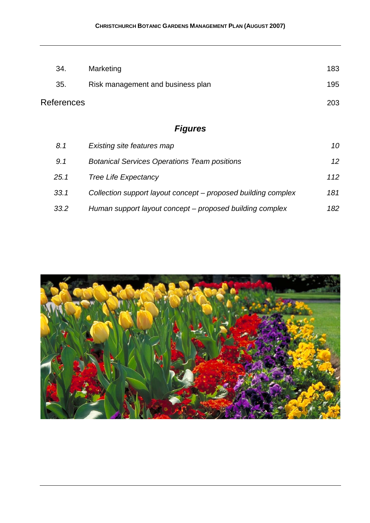| 34.               | Marketing                         | 183 |
|-------------------|-----------------------------------|-----|
| 35.               | Risk management and business plan | 195 |
| <b>References</b> |                                   | 203 |

## *Figures*

| 8.1  | Existing site features map                                    | 10  |
|------|---------------------------------------------------------------|-----|
| 9.1  | <b>Botanical Services Operations Team positions</b>           | 12  |
| 25.1 | <b>Tree Life Expectancy</b>                                   | 112 |
| 33.1 | Collection support layout concept – proposed building complex | 181 |
| 33.2 | Human support layout concept – proposed building complex      | 182 |

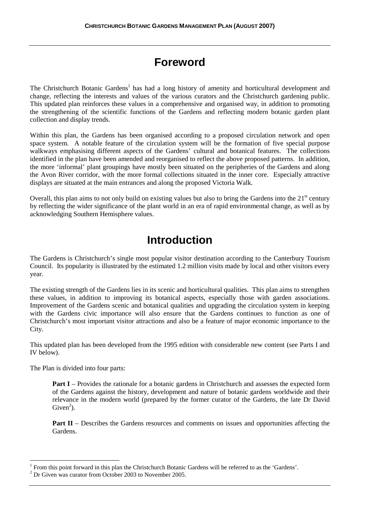# **Foreword**

The Christchurch Botanic Gardens<sup>1</sup> has had a long history of amenity and horticultural development and change, reflecting the interests and values of the various curators and the Christchurch gardening public. This updated plan reinforces these values in a comprehensive and organised way, in addition to promoting the strengthening of the scientific functions of the Gardens and reflecting modern botanic garden plant collection and display trends.

Within this plan, the Gardens has been organised according to a proposed circulation network and open space system. A notable feature of the circulation system will be the formation of five special purpose walkways emphasising different aspects of the Gardens' cultural and botanical features. The collections identified in the plan have been amended and reorganised to reflect the above proposed patterns. In addition, the more 'informal' plant groupings have mostly been situated on the peripheries of the Gardens and along the Avon River corridor, with the more formal collections situated in the inner core. Especially attractive displays are situated at the main entrances and along the proposed Victoria Walk.

Overall, this plan aims to not only build on existing values but also to bring the Gardens into the  $21<sup>st</sup>$  century by reflecting the wider significance of the plant world in an era of rapid environmental change, as well as by acknowledging Southern Hemisphere values.

## **Introduction**

The Gardens is Christchurch's single most popular visitor destination according to the Canterbury Tourism Council. Its popularity is illustrated by the estimated 1.2 million visits made by local and other visitors every year.

The existing strength of the Gardens lies in its scenic and horticultural qualities. This plan aims to strengthen these values, in addition to improving its botanical aspects, especially those with garden associations. Improvement of the Gardens scenic and botanical qualities and upgrading the circulation system in keeping with the Gardens civic importance will also ensure that the Gardens continues to function as one of Christchurch's most important visitor attractions and also be a feature of major economic importance to the City.

This updated plan has been developed from the 1995 edition with considerable new content (see Parts I and IV below).

The Plan is divided into four parts:

 $\overline{a}$ 

**Part I** – Provides the rationale for a botanic gardens in Christchurch and assesses the expected form of the Gardens against the history, development and nature of botanic gardens worldwide and their relevance in the modern world (prepared by the former curator of the Gardens, the late Dr David Given<sup>2</sup>).

**Part II** – Describes the Gardens resources and comments on issues and opportunities affecting the Gardens.

<sup>1</sup> From this point forward in this plan the Christchurch Botanic Gardens will be referred to as the 'Gardens'.

<sup>2</sup> Dr Given was curator from October 2003 to November 2005.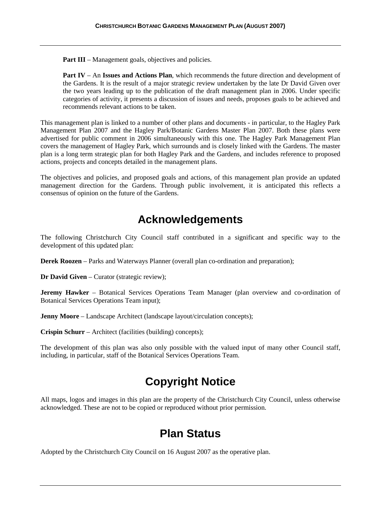**Part III** – Management goals, objectives and policies.

**Part IV** – An **Issues and Actions Plan**, which recommends the future direction and development of the Gardens. It is the result of a major strategic review undertaken by the late Dr David Given over the two years leading up to the publication of the draft management plan in 2006. Under specific categories of activity, it presents a discussion of issues and needs, proposes goals to be achieved and recommends relevant actions to be taken.

This management plan is linked to a number of other plans and documents - in particular, to the Hagley Park Management Plan 2007 and the Hagley Park/Botanic Gardens Master Plan 2007. Both these plans were advertised for public comment in 2006 simultaneously with this one. The Hagley Park Management Plan covers the management of Hagley Park, which surrounds and is closely linked with the Gardens. The master plan is a long term strategic plan for both Hagley Park and the Gardens, and includes reference to proposed actions, projects and concepts detailed in the management plans.

The objectives and policies, and proposed goals and actions, of this management plan provide an updated management direction for the Gardens. Through public involvement, it is anticipated this reflects a consensus of opinion on the future of the Gardens.

## **Acknowledgements**

The following Christchurch City Council staff contributed in a significant and specific way to the development of this updated plan:

**Derek Roozen** – Parks and Waterways Planner (overall plan co-ordination and preparation);

**Dr David Given** – Curator (strategic review);

**Jeremy Hawker** – Botanical Services Operations Team Manager (plan overview and co-ordination of Botanical Services Operations Team input);

**Jenny Moore** – Landscape Architect (landscape layout/circulation concepts);

**Crispin Schurr** – Architect (facilities (building) concepts);

The development of this plan was also only possible with the valued input of many other Council staff, including, in particular, staff of the Botanical Services Operations Team.

## **Copyright Notice**

All maps, logos and images in this plan are the property of the Christchurch City Council, unless otherwise acknowledged. These are not to be copied or reproduced without prior permission.

## **Plan Status**

Adopted by the Christchurch City Council on 16 August 2007 as the operative plan.